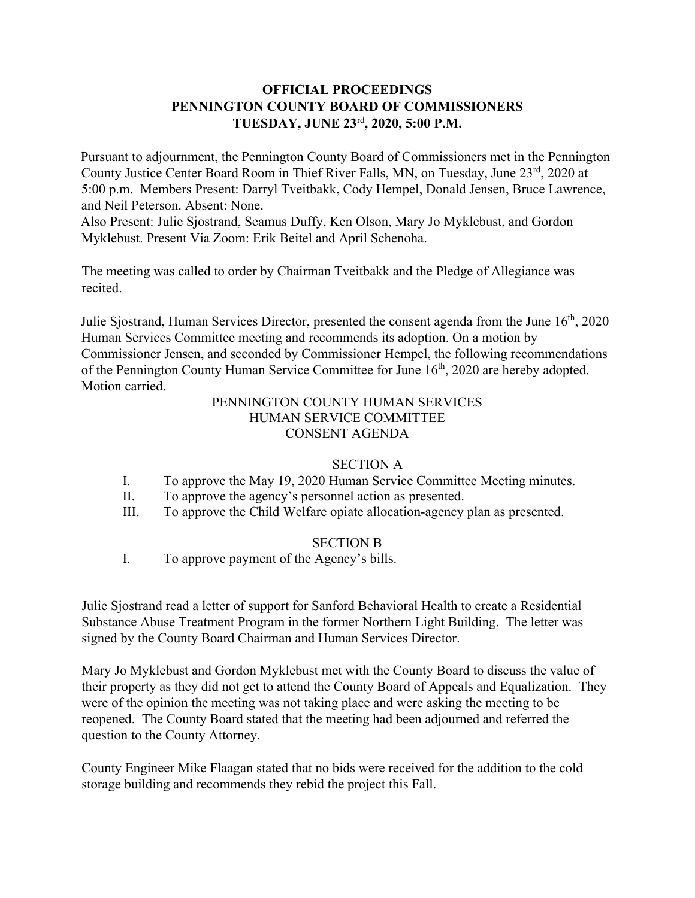# **OFFICIAL PROCEEDINGS PENNINGTON COUNTY BOARD OF COMMISSIONERS TUESDAY, JUNE 23**rd**, 2020, 5:00 P.M.**

Pursuant to adjournment, the Pennington County Board of Commissioners met in the Pennington County Justice Center Board Room in Thief River Falls, MN, on Tuesday, June 23<sup>rd</sup>, 2020 at 5:00 p.m. Members Present: Darryl Tveitbakk, Cody Hempel, Donald Jensen, Bruce Lawrence, and Neil Peterson. Absent: None.

Also Present: Julie Sjostrand, Seamus Duffy, Ken Olson, Mary Jo Myklebust, and Gordon Myklebust. Present Via Zoom: Erik Beitel and April Schenoha.

The meeting was called to order by Chairman Tveitbakk and the Pledge of Allegiance was recited.

Julie Sjostrand, Human Services Director, presented the consent agenda from the June  $16<sup>th</sup>$ , 2020 Human Services Committee meeting and recommends its adoption. On a motion by Commissioner Jensen, and seconded by Commissioner Hempel, the following recommendations of the Pennington County Human Service Committee for June 16<sup>th</sup>, 2020 are hereby adopted. Motion carried.

### PENNINGTON COUNTY HUMAN SERVICES HUMAN SERVICE COMMITTEE CONSENT AGENDA

#### SECTION A

- I. To approve the May 19, 2020 Human Service Committee Meeting minutes.
- II. To approve the agency's personnel action as presented.
- III. To approve the Child Welfare opiate allocation-agency plan as presented.

#### SECTION B

I. To approve payment of the Agency's bills.

Julie Sjostrand read a letter of support for Sanford Behavioral Health to create a Residential Substance Abuse Treatment Program in the former Northern Light Building. The letter was signed by the County Board Chairman and Human Services Director.

Mary Jo Myklebust and Gordon Myklebust met with the County Board to discuss the value of their property as they did not get to attend the County Board of Appeals and Equalization. They were of the opinion the meeting was not taking place and were asking the meeting to be reopened. The County Board stated that the meeting had been adjourned and referred the question to the County Attorney.

County Engineer Mike Flaagan stated that no bids were received for the addition to the cold storage building and recommends they rebid the project this Fall.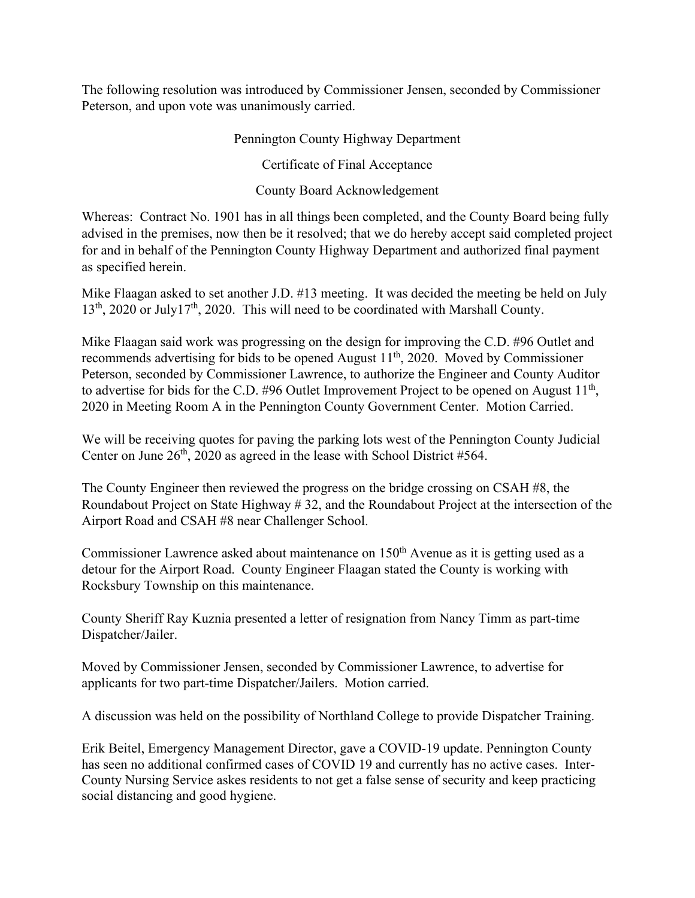The following resolution was introduced by Commissioner Jensen, seconded by Commissioner Peterson, and upon vote was unanimously carried.

## Pennington County Highway Department

Certificate of Final Acceptance

County Board Acknowledgement

Whereas: Contract No. 1901 has in all things been completed, and the County Board being fully advised in the premises, now then be it resolved; that we do hereby accept said completed project for and in behalf of the Pennington County Highway Department and authorized final payment as specified herein.

Mike Flaagan asked to set another J.D. #13 meeting. It was decided the meeting be held on July  $13<sup>th</sup>$ , 2020 or July17<sup>th</sup>, 2020. This will need to be coordinated with Marshall County.

Mike Flaagan said work was progressing on the design for improving the C.D. #96 Outlet and recommends advertising for bids to be opened August  $11<sup>th</sup>$ , 2020. Moved by Commissioner Peterson, seconded by Commissioner Lawrence, to authorize the Engineer and County Auditor to advertise for bids for the C.D. #96 Outlet Improvement Project to be opened on August  $11<sup>th</sup>$ , 2020 in Meeting Room A in the Pennington County Government Center. Motion Carried.

We will be receiving quotes for paving the parking lots west of the Pennington County Judicial Center on June  $26<sup>th</sup>$ , 2020 as agreed in the lease with School District #564.

The County Engineer then reviewed the progress on the bridge crossing on CSAH #8, the Roundabout Project on State Highway # 32, and the Roundabout Project at the intersection of the Airport Road and CSAH #8 near Challenger School.

Commissioner Lawrence asked about maintenance on  $150<sup>th</sup>$  Avenue as it is getting used as a detour for the Airport Road. County Engineer Flaagan stated the County is working with Rocksbury Township on this maintenance.

County Sheriff Ray Kuznia presented a letter of resignation from Nancy Timm as part-time Dispatcher/Jailer.

Moved by Commissioner Jensen, seconded by Commissioner Lawrence, to advertise for applicants for two part-time Dispatcher/Jailers. Motion carried.

A discussion was held on the possibility of Northland College to provide Dispatcher Training.

Erik Beitel, Emergency Management Director, gave a COVID-19 update. Pennington County has seen no additional confirmed cases of COVID 19 and currently has no active cases. Inter-County Nursing Service askes residents to not get a false sense of security and keep practicing social distancing and good hygiene.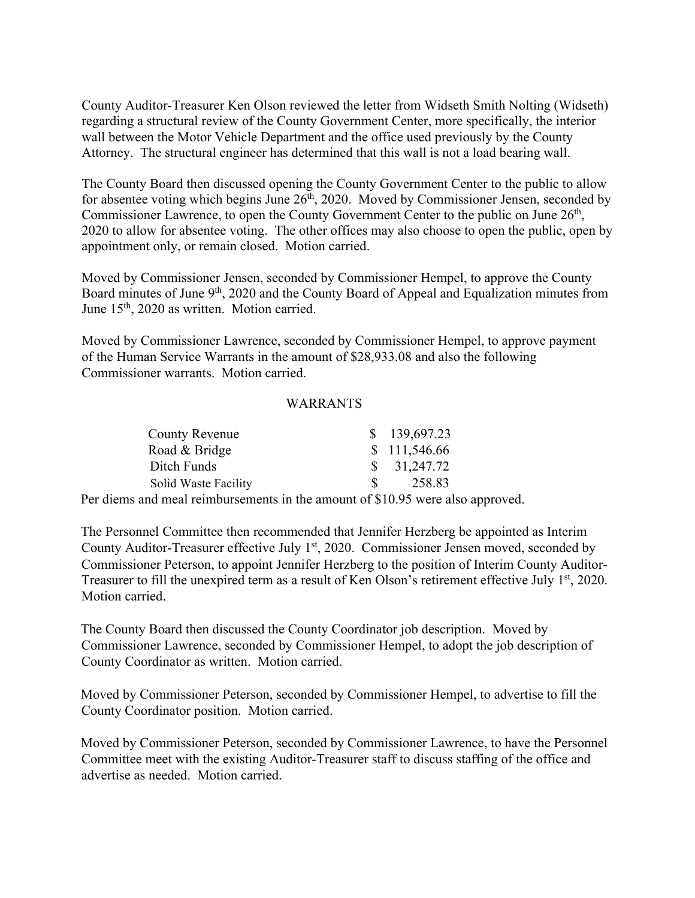County Auditor-Treasurer Ken Olson reviewed the letter from Widseth Smith Nolting (Widseth) regarding a structural review of the County Government Center, more specifically, the interior wall between the Motor Vehicle Department and the office used previously by the County Attorney. The structural engineer has determined that this wall is not a load bearing wall.

The County Board then discussed opening the County Government Center to the public to allow for absentee voting which begins June  $26<sup>th</sup>$ , 2020. Moved by Commissioner Jensen, seconded by Commissioner Lawrence, to open the County Government Center to the public on June 26<sup>th</sup>, 2020 to allow for absentee voting. The other offices may also choose to open the public, open by appointment only, or remain closed. Motion carried.

Moved by Commissioner Jensen, seconded by Commissioner Hempel, to approve the County Board minutes of June 9<sup>th</sup>, 2020 and the County Board of Appeal and Equalization minutes from June 15<sup>th</sup>, 2020 as written. Motion carried.

Moved by Commissioner Lawrence, seconded by Commissioner Hempel, to approve payment of the Human Service Warrants in the amount of \$28,933.08 and also the following Commissioner warrants. Motion carried.

#### WARRANTS

| County Revenue       | \$139,697.23           |
|----------------------|------------------------|
| Road & Bridge        | \$111,546.66           |
| Ditch Funds          | $\frac{\$}{31,247.72}$ |
| Solid Waste Facility | 258.83                 |
|                      |                        |

Per diems and meal reimbursements in the amount of \$10.95 were also approved.

The Personnel Committee then recommended that Jennifer Herzberg be appointed as Interim County Auditor-Treasurer effective July  $1<sup>st</sup>$ , 2020. Commissioner Jensen moved, seconded by Commissioner Peterson, to appoint Jennifer Herzberg to the position of Interim County Auditor-Treasurer to fill the unexpired term as a result of Ken Olson's retirement effective July 1<sup>st</sup>, 2020. Motion carried.

The County Board then discussed the County Coordinator job description. Moved by Commissioner Lawrence, seconded by Commissioner Hempel, to adopt the job description of County Coordinator as written. Motion carried.

Moved by Commissioner Peterson, seconded by Commissioner Hempel, to advertise to fill the County Coordinator position. Motion carried.

Moved by Commissioner Peterson, seconded by Commissioner Lawrence, to have the Personnel Committee meet with the existing Auditor-Treasurer staff to discuss staffing of the office and advertise as needed. Motion carried.